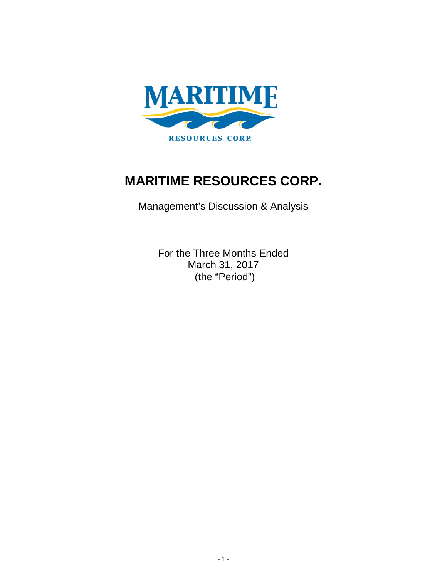

# **MARITIME RESOURCES CORP.**

Management's Discussion & Analysis

For the Three Months Ended March 31, 2017 (the "Period")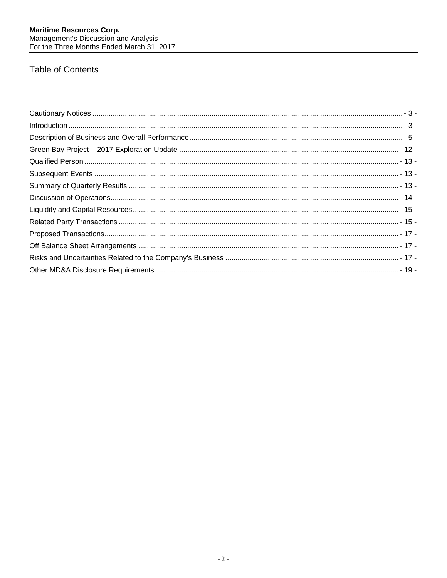## **Table of Contents**

| $\int_0^{\pi} \frac{1}{2} \arccos \left( \frac{1}{2} \arccos \left( \frac{1}{2} \arccos \left( \frac{1}{2} \arccos \left( \frac{1}{2} \arccos \left( \frac{1}{2} \arccos \left( \frac{1}{2} \arccos \left( \frac{1}{2} \arccos \left( \frac{1}{2} \arccos \left( \frac{1}{2} \arccos \left( \frac{1}{2} \arccos \left( \frac{1}{2} \arccos \left( \frac{1}{2} \arccos \left( \frac{1}{2} \arccos \left( \frac{1}{2} \arccos \left( \frac$ |  |
|-------------------------------------------------------------------------------------------------------------------------------------------------------------------------------------------------------------------------------------------------------------------------------------------------------------------------------------------------------------------------------------------------------------------------------------------|--|
|                                                                                                                                                                                                                                                                                                                                                                                                                                           |  |
|                                                                                                                                                                                                                                                                                                                                                                                                                                           |  |
|                                                                                                                                                                                                                                                                                                                                                                                                                                           |  |
|                                                                                                                                                                                                                                                                                                                                                                                                                                           |  |
|                                                                                                                                                                                                                                                                                                                                                                                                                                           |  |
|                                                                                                                                                                                                                                                                                                                                                                                                                                           |  |
|                                                                                                                                                                                                                                                                                                                                                                                                                                           |  |
|                                                                                                                                                                                                                                                                                                                                                                                                                                           |  |
|                                                                                                                                                                                                                                                                                                                                                                                                                                           |  |
|                                                                                                                                                                                                                                                                                                                                                                                                                                           |  |
|                                                                                                                                                                                                                                                                                                                                                                                                                                           |  |
|                                                                                                                                                                                                                                                                                                                                                                                                                                           |  |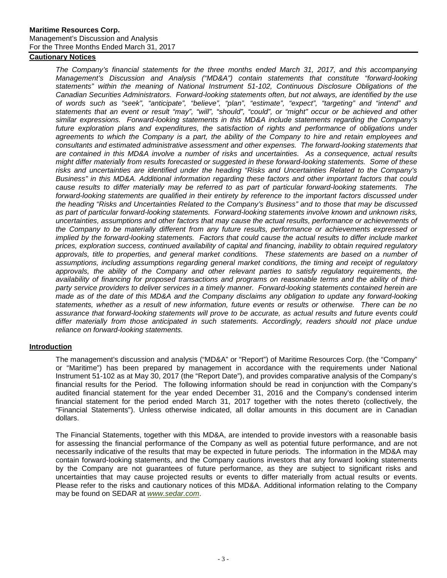## <span id="page-2-0"></span>**Cautionary Notices**

*The Company's financial statements for the three months ended March 31, 2017, and this accompanying Management's Discussion and Analysis ("MD&A") contain statements that constitute "forward-looking statements" within the meaning of National Instrument 51-102, Continuous Disclosure Obligations of the Canadian Securities Administrators. Forward-looking statements often, but not always, are identified by the use of words such as "seek", "anticipate", "believe", "plan", "estimate", "expect", "targeting" and "intend" and statements that an event or result "may", "will", "should", "could", or "might" occur or be achieved and other similar expressions. Forward-looking statements in this MD&A include statements regarding the Company's*  future exploration plans and expenditures, the satisfaction of rights and performance of obligations under *agreements to which the Company is a part, the ability of the Company to hire and retain employees and consultants and estimated administrative assessment and other expenses. The forward-looking statements that are contained in this MD&A involve a number of risks and uncertainties. As a consequence, actual results might differ materially from results forecasted or suggested in these forward-looking statements. Some of these risks and uncertainties are identified under the heading "Risks and Uncertainties Related to the Company's Business" in this MD&A. Additional information regarding these factors and other important factors that could cause results to differ materially may be referred to as part of particular forward-looking statements. The forward-looking statements are qualified in their entirety by reference to the important factors discussed under the heading "Risks and Uncertainties Related to the Company's Business" and to those that may be discussed as part of particular forward-looking statements. Forward-looking statements involve known and unknown risks, uncertainties, assumptions and other factors that may cause the actual results, performance or achievements of the Company to be materially different from any future results, performance or achievements expressed or implied by the forward-looking statements. Factors that could cause the actual results to differ include market prices, exploration success, continued availability of capital and financing, inability to obtain required regulatory approvals, title to properties, and general market conditions. These statements are based on a number of assumptions, including assumptions regarding general market conditions, the timing and receipt of regulatory approvals, the ability of the Company and other relevant parties to satisfy regulatory requirements, the availability of financing for proposed transactions and programs on reasonable terms and the ability of thirdparty service providers to deliver services in a timely manner. Forward-looking statements contained herein are made as of the date of this MD&A and the Company disclaims any obligation to update any forward-looking statements, whether as a result of new information, future events or results or otherwise. There can be no assurance that forward-looking statements will prove to be accurate, as actual results and future events could differ materially from those anticipated in such statements. Accordingly, readers should not place undue reliance on forward-looking statements.*

## <span id="page-2-1"></span>**Introduction**

The management's discussion and analysis ("MD&A" or "Report") of Maritime Resources Corp. (the "Company" or "Maritime") has been prepared by management in accordance with the requirements under National Instrument 51-102 as at May 30, 2017 (the "Report Date"), and provides comparative analysis of the Company's financial results for the Period. The following information should be read in conjunction with the Company's audited financial statement for the year ended December 31, 2016 and the Company's condensed interim financial statement for the period ended March 31, 2017 together with the notes thereto (collectively, the "Financial Statements"). Unless otherwise indicated, all dollar amounts in this document are in Canadian dollars.

The Financial Statements, together with this MD&A, are intended to provide investors with a reasonable basis for assessing the financial performance of the Company as well as potential future performance, and are not necessarily indicative of the results that may be expected in future periods. The information in the MD&A may contain forward-looking statements, and the Company cautions investors that any forward looking statements by the Company are not guarantees of future performance, as they are subject to significant risks and uncertainties that may cause projected results or events to differ materially from actual results or events. Please refer to the risks and cautionary notices of this MD&A. Additional information relating to the Company may be found on SEDAR at *[www.sedar.com](http://www.sedar.com/)*.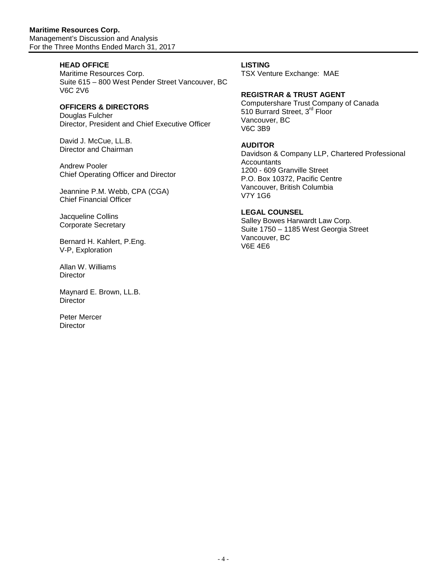## **HEAD OFFICE**

Maritime Resources Corp. Suite 615 – 800 West Pender Street Vancouver, BC V6C 2V6

## **OFFICERS & DIRECTORS**

Douglas Fulcher Director, President and Chief Executive Officer

David J. McCue, LL.B. Director and Chairman

Andrew Pooler Chief Operating Officer and Director

Jeannine P.M. Webb, CPA (CGA) Chief Financial Officer

Jacqueline Collins Corporate Secretary

Bernard H. Kahlert, P.Eng. V-P, Exploration

Allan W. Williams **Director** 

Maynard E. Brown, LL.B. **Director** 

Peter Mercer **Director** 

## **LISTING**

TSX Venture Exchange: MAE

## **REGISTRAR & TRUST AGENT**

Computershare Trust Company of Canada 510 Burrard Street, 3<sup>rd</sup> Floor Vancouver, BC V6C 3B9

## **AUDITOR**

Davidson & Company LLP, Chartered Professional **Accountants** 1200 - 609 Granville Street P.O. Box 10372, Pacific Centre Vancouver, British Columbia V7Y 1G6

## **LEGAL COUNSEL**

Salley Bowes Harwardt Law Corp. Suite 1750 – 1185 West Georgia Street Vancouver, BC V6E 4E6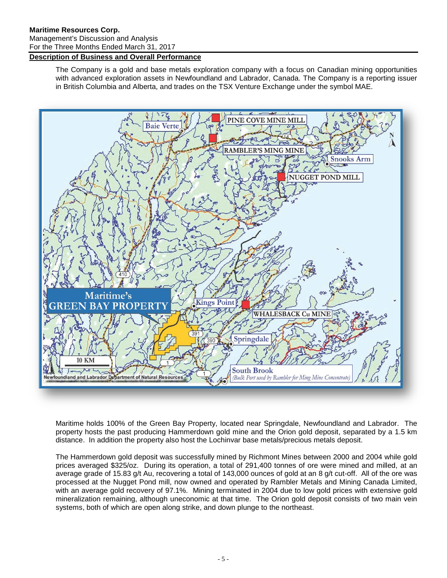## <span id="page-4-0"></span>**Description of Business and Overall Performance**

The Company is a gold and base metals exploration company with a focus on Canadian mining opportunities with advanced exploration assets in Newfoundland and Labrador, Canada. The Company is a reporting issuer in British Columbia and Alberta, and trades on the TSX Venture Exchange under the symbol MAE.



Maritime holds 100% of the Green Bay Property, located near Springdale, Newfoundland and Labrador. The property hosts the past producing Hammerdown gold mine and the Orion gold deposit, separated by a 1.5 km distance. In addition the property also host the Lochinvar base metals/precious metals deposit.

The Hammerdown gold deposit was successfully mined by Richmont Mines between 2000 and 2004 while gold prices averaged \$325/oz. During its operation, a total of 291,400 tonnes of ore were mined and milled, at an average grade of 15.83 g/t Au, recovering a total of 143,000 ounces of gold at an 8 g/t cut-off. All of the ore was processed at the Nugget Pond mill, now owned and operated by Rambler Metals and Mining Canada Limited, with an average gold recovery of 97.1%. Mining terminated in 2004 due to low gold prices with extensive gold mineralization remaining, although uneconomic at that time. The Orion gold deposit consists of two main vein systems, both of which are open along strike, and down plunge to the northeast.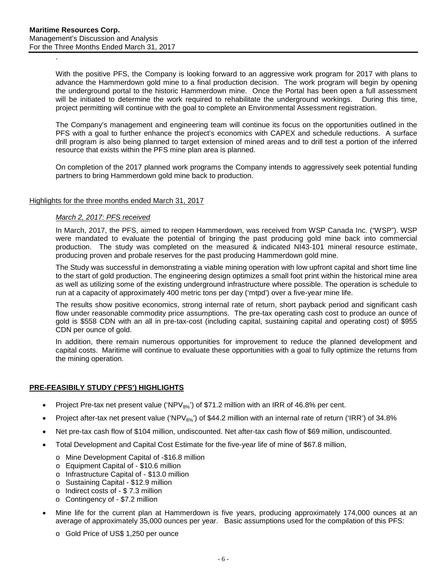.

With the positive PFS, the Company is looking forward to an aggressive work program for 2017 with plans to advance the Hammerdown gold mine to a final production decision. The work program will begin by opening the underground portal to the historic Hammerdown mine. Once the Portal has been open a full assessment will be initiated to determine the work required to rehabilitate the underground workings. During this time, project permitting will continue with the goal to complete an Environmental Assessment registration.

The Company's management and engineering team will continue its focus on the opportunities outlined in the PFS with a goal to further enhance the project's economics with CAPEX and schedule reductions. A surface drill program is also being planned to target extension of mined areas and to drill test a portion of the inferred resource that exists within the PFS mine plan area is planned.

On completion of the 2017 planned work programs the Company intends to aggressively seek potential funding partners to bring Hammerdown gold mine back to production.

#### Highlights for the three months ended March 31, 2017

#### *March 2, 2017: PFS received*

In March, 2017, the PFS, aimed to reopen Hammerdown, was received from WSP Canada Inc. ("WSP"). WSP were mandated to evaluate the potential of bringing the past producing gold mine back into commercial production. The study was completed on the measured & indicated NI43-101 mineral resource estimate, producing proven and probale reserves for the past producing Hammerdown gold mine.

The Study was successful in demonstrating a viable mining operation with low upfront capital and short time line to the start of gold production. The engineering design optimizes a small foot print within the historical mine area as well as utilizing some of the existing underground infrastructure where possible. The operation is schedule to run at a capacity of approximately 400 metric tons per day ('mtpd') over a five-year mine life.

The results show positive economics, strong internal rate of return, short payback period and significant cash flow under reasonable commodity price assumptions. The pre-tax operating cash cost to produce an ounce of gold is \$558 CDN with an all in pre-tax-cost (including capital, sustaining capital and operating cost) of \$955 CDN per ounce of gold.

In addition, there remain numerous opportunities for improvement to reduce the planned development and capital costs. Maritime will continue to evaluate these opportunities with a goal to fully optimize the returns from the mining operation.

## **PRE-FEASIBILY STUDY ('PFS') HIGHLIGHTS**

- Project Pre-tax net present value ('NPV $_{8\%}$ ') of \$71.2 million with an IRR of 46.8% per cent.
- Project after-tax net present value ('NPV8%') of \$44.2 million with an internal rate of return ('IRR') of 34.8%
- Net pre-tax cash flow of \$104 million, undiscounted. Net after-tax cash flow of \$69 million, undiscounted.
- Total Development and Capital Cost Estimate for the five-year life of mine of \$67.8 million,
	- o Mine Development Capital of -\$16.8 million
	- o Equipment Capital of \$10.6 million
	- o Infrastructure Capital of \$13.0 million
	- o Sustaining Capital \$12.9 million
	- o Indirect costs of \$ 7.3 million
	- o Contingency of \$7.2 million
- Mine life for the current plan at Hammerdown is five years, producing approximately 174,000 ounces at an average of approximately 35,000 ounces per year. Basic assumptions used for the compilation of this PFS:
	- o Gold Price of US\$ 1,250 per ounce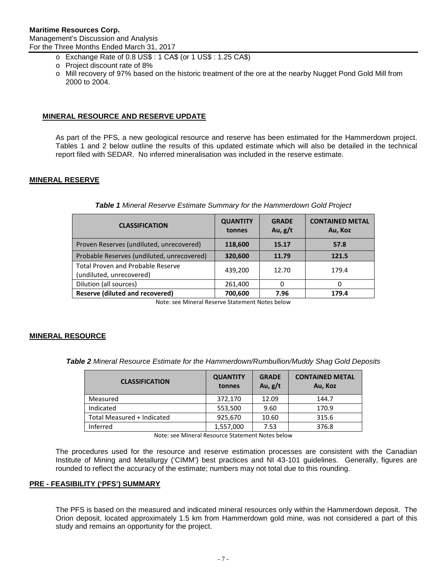- o Exchange Rate of 0.8 US\$ : 1 CA\$ (or 1 US\$ : 1.25 CA\$)
- o Project discount rate of 8%
- o Mill recovery of 97% based on the historic treatment of the ore at the nearby Nugget Pond Gold Mill from 2000 to 2004.

## **MINERAL RESOURCE AND RESERVE UPDATE**

As part of the PFS, a new geological resource and reserve has been estimated for the Hammerdown project. Tables 1 and 2 below outline the results of this updated estimate which will also be detailed in the technical report filed with SEDAR. No inferred mineralisation was included in the reserve estimate.

## **MINERAL RESERVE**

| <b>CLASSIFICATION</b>                                                | <b>QUANTITY</b><br>tonnes | <b>GRADE</b><br>Au, $g/t$ | <b>CONTAINED METAL</b><br>Au, Koz |
|----------------------------------------------------------------------|---------------------------|---------------------------|-----------------------------------|
| Proven Reserves (undiluted, unrecovered)                             | 118,600                   | 15.17                     | 57.8                              |
| Probable Reserves (undiluted, unrecovered)                           | 320,600                   | 11.79                     | 121.5                             |
| <b>Total Proven and Probable Reserve</b><br>(undiluted, unrecovered) | 439,200                   | 12.70                     | 179.4                             |
| Dilution (all sources)                                               | 261,400                   | 0                         | 0                                 |
| <b>Reserve (diluted and recovered)</b>                               | 700,600                   | 7.96                      | 179.4                             |

#### *Table 1 Mineral Reserve Estimate Summary for the Hammerdown Gold Project*

Note: see Mineral Reserve Statement Notes below

#### **MINERAL RESOURCE**

| Table 2 Mineral Resource Estimate for the Hammerdown/Rumbullion/Muddy Shag Gold Deposits |  |  |
|------------------------------------------------------------------------------------------|--|--|
|------------------------------------------------------------------------------------------|--|--|

| <b>CLASSIFICATION</b>      | <b>QUANTITY</b><br>tonnes | <b>GRADE</b><br>Au, $g/t$ | <b>CONTAINED METAL</b><br>Au, Koz |
|----------------------------|---------------------------|---------------------------|-----------------------------------|
| Measured                   | 372,170                   | 12.09                     | 144.7                             |
| Indicated                  | 553,500                   | 9.60                      | 170.9                             |
| Total Measured + Indicated | 925.670                   | 10.60                     | 315.6                             |
| Inferred                   | 1,557,000                 | 7.53                      | 376.8                             |

Note: see Mineral Resource Statement Notes below

The procedures used for the resource and reserve estimation processes are consistent with the Canadian Institute of Mining and Metallurgy ('CIMM') best practices and NI 43-101 guidelines. Generally, figures are rounded to reflect the accuracy of the estimate; numbers may not total due to this rounding.

## **PRE - FEASIBILITY ('PFS') SUMMARY**

The PFS is based on the measured and indicated mineral resources only within the Hammerdown deposit. The Orion deposit, located approximately 1.5 km from Hammerdown gold mine, was not considered a part of this study and remains an opportunity for the project.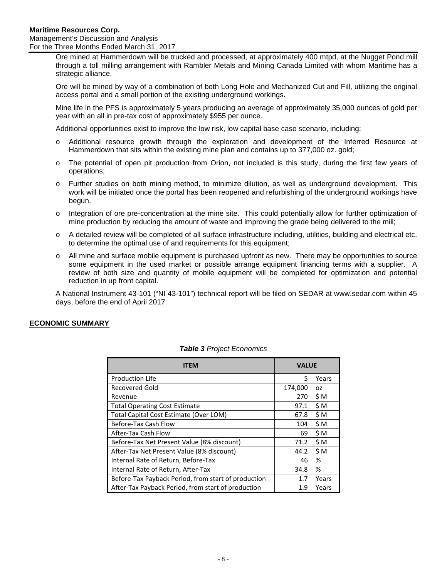Ore mined at Hammerdown will be trucked and processed, at approximately 400 mtpd, at the Nugget Pond mill through a toll milling arrangement with Rambler Metals and Mining Canada Limited with whom Maritime has a strategic alliance.

Ore will be mined by way of a combination of both Long Hole and Mechanized Cut and Fill, utilizing the original access portal and a small portion of the existing underground workings.

Mine life in the PFS is approximately 5 years producing an average of approximately 35,000 ounces of gold per year with an all in pre-tax cost of approximately \$955 per ounce.

Additional opportunities exist to improve the low risk, low capital base case scenario, including:

- o Additional resource growth through the exploration and development of the Inferred Resource at Hammerdown that sits within the existing mine plan and contains up to 377,000 oz. gold;
- o The potential of open pit production from Orion, not included is this study, during the first few years of operations;
- o Further studies on both mining method, to minimize dilution, as well as underground development. This work will be initiated once the portal has been reopened and refurbishing of the underground workings have begun.
- o Integration of ore pre-concentration at the mine site. This could potentially allow for further optimization of mine production by reducing the amount of waste and improving the grade being delivered to the mill;
- o A detailed review will be completed of all surface infrastructure including, utilities, building and electrical etc. to determine the optimal use of and requirements for this equipment;
- o All mine and surface mobile equipment is purchased upfront as new. There may be opportunities to source some equipment in the used market or possible arrange equipment financing terms with a supplier. A review of both size and quantity of mobile equipment will be completed for optimization and potential reduction in up front capital.

A National Instrument 43-101 ("NI 43-101") technical report will be filed on SEDAR at www.sedar.com within 45 days, before the end of April 2017.

## **ECONOMIC SUMMARY**

| ITEM                                                | <b>VALUE</b> |       |  |
|-----------------------------------------------------|--------------|-------|--|
| <b>Production Life</b>                              | 5            | Years |  |
| <b>Recovered Gold</b>                               | 174,000      | 0Z    |  |
| Revenue                                             | 270          | \$M   |  |
| <b>Total Operating Cost Estimate</b>                | 97.1         | \$M   |  |
| Total Capital Cost Estimate (Over LOM)              | 67.8         | \$M   |  |
| Before-Tax Cash Flow                                | 104          | \$M   |  |
| After-Tax Cash Flow                                 | 69           | \$M   |  |
| Before-Tax Net Present Value (8% discount)          | 71.2         | \$M   |  |
| After-Tax Net Present Value (8% discount)           | 44.2         | \$M   |  |
| Internal Rate of Return, Before-Tax                 | 46           | %     |  |
| Internal Rate of Return, After-Tax                  | 34.8         | %     |  |
| Before-Tax Payback Period, from start of production | 1.7          | Years |  |
| After-Tax Payback Period, from start of production  | 1.9          | Years |  |

## *Table 3 Project Economics*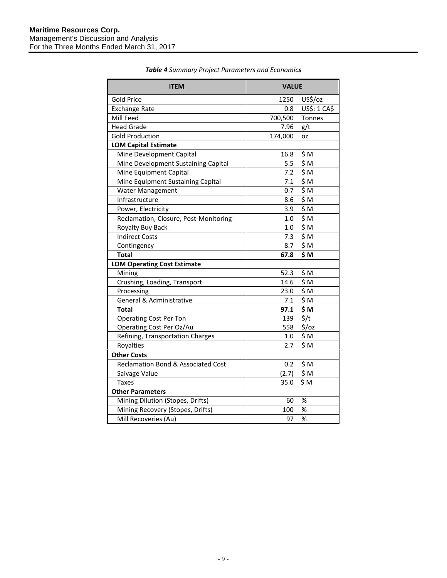| <b>ITEM</b>                                   | <b>VALUE</b> |                   |
|-----------------------------------------------|--------------|-------------------|
| <b>Gold Price</b>                             | 1250         | US\$/oz           |
| <b>Exchange Rate</b>                          | 0.8          | US\$: 1 CA\$      |
| Mill Feed                                     | 700,500      | <b>Tonnes</b>     |
| <b>Head Grade</b>                             | 7.96         | g/t               |
| <b>Gold Production</b>                        | 174,000      | OZ                |
| <b>LOM Capital Estimate</b>                   |              |                   |
| Mine Development Capital                      | 16.8         | \$M               |
| Mine Development Sustaining Capital           | 5.5          | \$M               |
| Mine Equipment Capital                        | 7.2          | \$M               |
| Mine Equipment Sustaining Capital             | 7.1          | \$M               |
| <b>Water Management</b>                       | 0.7          | \$M               |
| Infrastructure                                | 8.6          | \$M               |
| Power, Electricity                            | 3.9          | \$M               |
| Reclamation, Closure, Post-Monitoring         | 1.0          | \$M               |
| Royalty Buy Back                              | 1.0          | \$M               |
| <b>Indirect Costs</b>                         | 7.3          | \$M               |
| Contingency                                   | 8.7          | \$M               |
| <b>Total</b>                                  | 67.8         | \$M               |
| <b>LOM Operating Cost Estimate</b>            |              |                   |
| Mining                                        | 52.3         | \$M               |
| Crushing, Loading, Transport                  | 14.6         | \$M               |
| Processing                                    | 23.0         | \$M               |
| General & Administrative                      | 7.1          | \$M               |
| Total                                         | 97.1         | \$M               |
| <b>Operating Cost Per Ton</b>                 | 139          | $\frac{1}{2}$ /t  |
| Operating Cost Per Oz/Au                      | 558          | $\frac{2}{3}$ /02 |
| Refining, Transportation Charges              | 1.0          | \$M               |
| Royalties                                     | 2.7          | \$M               |
| <b>Other Costs</b>                            |              |                   |
| <b>Reclamation Bond &amp; Associated Cost</b> | 0.2          | \$M               |
| Salvage Value                                 | (2.7)        | \$M               |
| <b>Taxes</b>                                  | 35.0         | \$M               |
| <b>Other Parameters</b>                       |              |                   |
| Mining Dilution (Stopes, Drifts)              | 60           | %                 |
| Mining Recovery (Stopes, Drifts)              | 100          | %                 |
| Mill Recoveries (Au)                          | 97           | %                 |

*Table 4 Summary Project Parameters and Economics*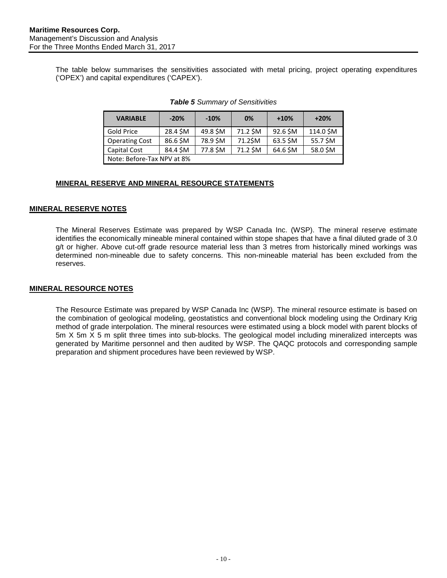The table below summarises the sensitivities associated with metal pricing, project operating expenditures ('OPEX') and capital expenditures ('CAPEX').

| <b>VARIABLE</b>            | $-20%$   | $-10%$   | 0%       | $+10%$   | $+20%$    |  |
|----------------------------|----------|----------|----------|----------|-----------|--|
| Gold Price                 | 28.4 \$M | 49.8 \$M | 71.2 \$M | 92.6 \$M | 114.0 \$M |  |
| <b>Operating Cost</b>      | 86.6 \$M | 78.9 \$M | 71.2\$M  | 63.5 SM  | 55.7 \$M  |  |
| Capital Cost               | 84.4 \$M | 77.8 \$M | 71.2 \$M | 64.6 \$M | 58.0 \$M  |  |
| Note: Before-Tax NPV at 8% |          |          |          |          |           |  |

#### *Table 5 Summary of Sensitivities*

## **MINERAL RESERVE AND MINERAL RESOURCE STATEMENTS**

## **MINERAL RESERVE NOTES**

The Mineral Reserves Estimate was prepared by WSP Canada Inc. (WSP). The mineral reserve estimate identifies the economically mineable mineral contained within stope shapes that have a final diluted grade of 3.0 g/t or higher. Above cut-off grade resource material less than 3 metres from historically mined workings was determined non-mineable due to safety concerns. This non-mineable material has been excluded from the reserves.

## **MINERAL RESOURCE NOTES**

The Resource Estimate was prepared by WSP Canada Inc (WSP). The mineral resource estimate is based on the combination of geological modeling, geostatistics and conventional block modeling using the Ordinary Krig method of grade interpolation. The mineral resources were estimated using a block model with parent blocks of 5m X 5m X 5 m split three times into sub-blocks. The geological model including mineralized intercepts was generated by Maritime personnel and then audited by WSP. The QAQC protocols and corresponding sample preparation and shipment procedures have been reviewed by WSP.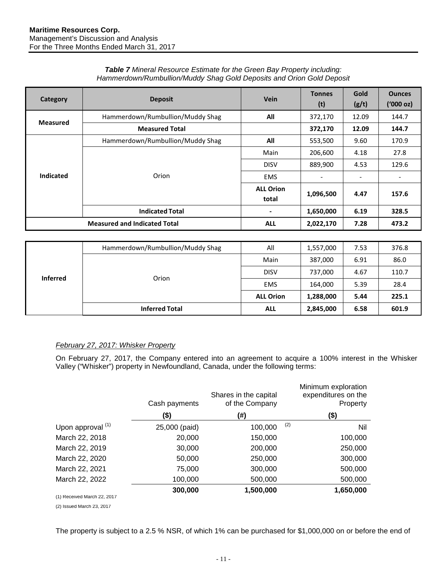| <b>Table 7</b> Mineral Resource Estimate for the Green Bay Property including: |  |
|--------------------------------------------------------------------------------|--|
| Hammerdown/Rumbullion/Muddy Shag Gold Deposits and Orion Gold Deposit          |  |
|                                                                                |  |

| <b>Category</b> | <b>Deposit</b>                      | <b>Vein</b>               | <b>Tonnes</b><br>(t)     | Gold<br>(g/t)                | <b>Ounces</b><br>('000 oz) |
|-----------------|-------------------------------------|---------------------------|--------------------------|------------------------------|----------------------------|
|                 | Hammerdown/Rumbullion/Muddy Shag    | All                       | 372,170                  | 12.09                        | 144.7                      |
| <b>Measured</b> | <b>Measured Total</b>               |                           | 372,170                  | 12.09                        | 144.7                      |
|                 | Hammerdown/Rumbullion/Muddy Shag    | All                       | 553,500                  | 9.60                         | 170.9                      |
|                 |                                     | Main                      | 206,600                  | 4.18                         | 27.8                       |
|                 |                                     | <b>DISV</b>               | 889,900                  | 4.53                         | 129.6                      |
| Indicated       | Orion                               | <b>EMS</b>                | $\overline{\phantom{0}}$ | $\qquad \qquad \blacksquare$ | $\overline{\phantom{a}}$   |
|                 |                                     | <b>ALL Orion</b><br>total | 1,096,500                | 4.47                         | 157.6                      |
|                 | <b>Indicated Total</b>              | -                         | 1,650,000                | 6.19                         | 328.5                      |
|                 | <b>Measured and Indicated Total</b> | <b>ALL</b>                | 2,022,170                | 7.28                         | 473.2                      |

|                 | Hammerdown/Rumbullion/Muddy Shag | All              | 1,557,000 | 7.53 | 376.8 |
|-----------------|----------------------------------|------------------|-----------|------|-------|
|                 |                                  | Main             | 387,000   | 6.91 | 86.0  |
|                 | Orion                            | <b>DISV</b>      | 737,000   | 4.67 | 110.7 |
| <b>Inferred</b> |                                  | <b>EMS</b>       | 164,000   | 5.39 | 28.4  |
|                 |                                  | <b>ALL Orion</b> | 1,288,000 | 5.44 | 225.1 |
|                 | <b>Inferred Total</b>            | <b>ALL</b>       | 2,845,000 | 6.58 | 601.9 |

## *February 27, 2017: Whisker Property*

On February 27, 2017, the Company entered into an agreement to acquire a 100% interest in the Whisker Valley ("Whisker") property in Newfoundland, Canada, under the following terms:

|                             | Cash payments | Shares in the capital<br>of the Company | Minimum exploration<br>expenditures on the<br>Property |
|-----------------------------|---------------|-----------------------------------------|--------------------------------------------------------|
|                             | (\$)          | (#)                                     | (\$)                                                   |
| Upon approval (1)           | 25,000 (paid) | 100,000                                 | (2)<br>Nil                                             |
| March 22, 2018              | 20,000        | 150,000                                 | 100,000                                                |
| March 22, 2019              | 30,000        | 200,000                                 | 250,000                                                |
| March 22, 2020              | 50,000        | 250,000                                 | 300,000                                                |
| March 22, 2021              | 75,000        | 300,000                                 | 500,000                                                |
| March 22, 2022              | 100,000       | 500,000                                 | 500,000                                                |
|                             | 300,000       | 1,500,000                               | 1,650,000                                              |
| (1) Received March 22, 2017 |               |                                         |                                                        |
| (2) Issued March 23, 2017   |               |                                         |                                                        |

The property is subject to a 2.5 % NSR, of which 1% can be purchased for \$1,000,000 on or before the end of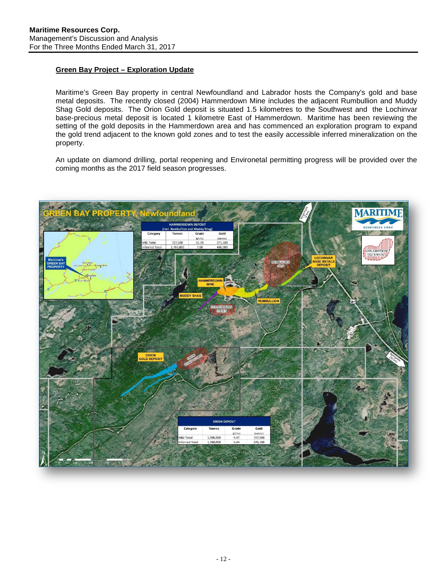## <span id="page-11-0"></span>**Green Bay Project – Exploration Update**

Maritime's Green Bay property in central Newfoundland and Labrador hosts the Company's gold and base metal deposits. The recently closed (2004) Hammerdown Mine includes the adjacent Rumbullion and Muddy Shag Gold deposits. The Orion Gold deposit is situated 1.5 kilometres to the Southwest and the Lochinvar base-precious metal deposit is located 1 kilometre East of Hammerdown. Maritime has been reviewing the setting of the gold deposits in the Hammerdown area and has commenced an exploration program to expand the gold trend adjacent to the known gold zones and to test the easily accessible inferred mineralization on the property.

An update on diamond drilling, portal reopening and Environetal permitting progress will be provided over the coming months as the 2017 field season progresses.

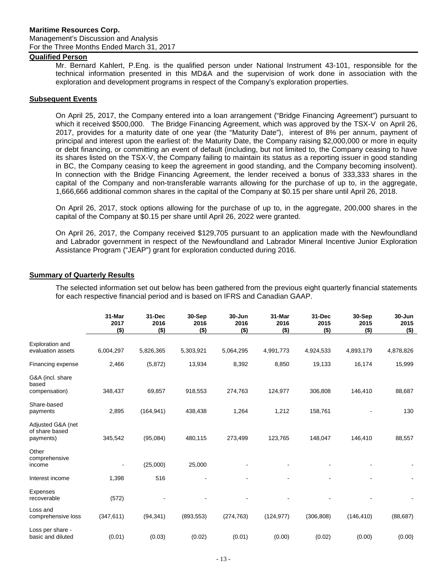#### **Maritime Resources Corp.** Management's Discussion and Analysis For the Three Months Ended March 31, 2017

## <span id="page-12-0"></span>**Qualified Person**

Mr. Bernard Kahlert, P.Eng. is the qualified person under National Instrument 43-101, responsible for the technical information presented in this MD&A and the supervision of work done in association with the exploration and development programs in respect of the Company's exploration properties.

## <span id="page-12-1"></span>**Subsequent Events**

On April 25, 2017, the Company entered into a loan arrangement ("Bridge Financing Agreement") pursuant to which it received \$500,000. The Bridge Financing Agreement, which was approved by the TSX-V on April 26, 2017, provides for a maturity date of one year (the "Maturity Date"), interest of 8% per annum, payment of principal and interest upon the earliest of: the Maturity Date, the Company raising \$2,000,000 or more in equity or debt financing, or committing an event of default (including, but not limited to, the Company ceasing to have its shares listed on the TSX-V, the Company failing to maintain its status as a reporting issuer in good standing in BC, the Company ceasing to keep the agreement in good standing, and the Company becoming insolvent). In connection with the Bridge Financing Agreement, the lender received a bonus of 333,333 shares in the capital of the Company and non-transferable warrants allowing for the purchase of up to, in the aggregate, 1,666,666 additional common shares in the capital of the Company at \$0.15 per share until April 26, 2018.

On April 26, 2017, stock options allowing for the purchase of up to, in the aggregate, 200,000 shares in the capital of the Company at \$0.15 per share until April 26, 2022 were granted.

On April 26, 2017, the Company received \$129,705 pursuant to an application made with the Newfoundland and Labrador government in respect of the Newfoundland and Labrador Mineral Incentive Junior Exploration Assistance Program ("JEAP") grant for exploration conducted during 2016.

## <span id="page-12-2"></span>**Summary of Quarterly Results**

The selected information set out below has been gathered from the previous eight quarterly financial statements for each respective financial period and is based on IFRS and Canadian GAAP.

|                                                  | 31-Mar<br>2017<br>$($ \$) | 31-Dec<br>2016<br>$($ \$) | 30-Sep<br>2016<br>$($ \$) | 30-Jun<br>2016<br>$($ \$) | 31-Mar<br>2016<br>$($ \$) | 31-Dec<br>2015<br>$($ \$) | 30-Sep<br>2015<br>$($ \$) | 30-Jun<br>2015<br>$($)$ |
|--------------------------------------------------|---------------------------|---------------------------|---------------------------|---------------------------|---------------------------|---------------------------|---------------------------|-------------------------|
| Exploration and<br>evaluation assets             | 6,004,297                 | 5,826,365                 | 5,303,921                 | 5,064,295                 | 4,991,773                 | 4,924,533                 | 4,893,179                 | 4,878,826               |
| Financing expense                                | 2,466                     | (5,872)                   | 13,934                    | 8,392                     | 8,850                     | 19,133                    | 16,174                    | 15,999                  |
| G&A (incl. share<br>based<br>compensation)       | 348,437                   | 69,857                    | 918,553                   | 274,763                   | 124,977                   | 306,808                   | 146,410                   | 88,687                  |
| Share-based<br>payments                          | 2,895                     | (164, 941)                | 438,438                   | 1,264                     | 1,212                     | 158,761                   |                           | 130                     |
| Adjusted G&A (net<br>of share based<br>payments) | 345,542                   | (95,084)                  | 480,115                   | 273,499                   | 123,765                   | 148,047                   | 146,410                   | 88,557                  |
| Other<br>comprehensive<br>income                 |                           | (25,000)                  | 25,000                    |                           |                           |                           |                           |                         |
| Interest income                                  | 1,398                     | 516                       |                           |                           |                           |                           |                           |                         |
| Expenses<br>recoverable                          | (572)                     |                           |                           |                           |                           |                           |                           |                         |
| Loss and<br>comprehensive loss                   | (347, 611)                | (94, 341)                 | (893, 553)                | (274, 763)                | (124, 977)                | (306, 808)                | (146, 410)                | (88, 687)               |
| Loss per share -<br>basic and diluted            | (0.01)                    | (0.03)                    | (0.02)                    | (0.01)                    | (0.00)                    | (0.02)                    | (0.00)                    | (0.00)                  |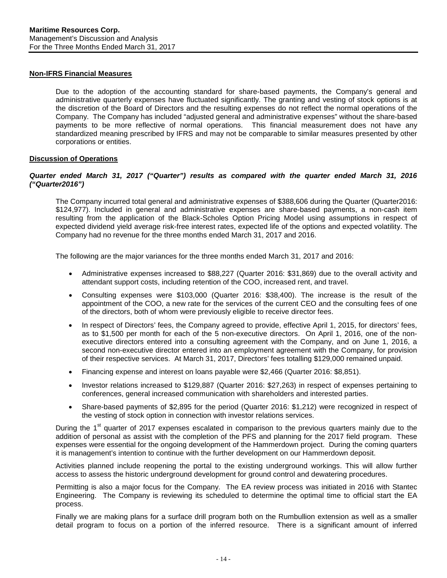#### **Non-IFRS Financial Measures**

Due to the adoption of the accounting standard for share-based payments, the Company's general and administrative quarterly expenses have fluctuated significantly. The granting and vesting of stock options is at the discretion of the Board of Directors and the resulting expenses do not reflect the normal operations of the Company. The Company has included "adjusted general and administrative expenses" without the share-based payments to be more reflective of normal operations. This financial measurement does not have any standardized meaning prescribed by IFRS and may not be comparable to similar measures presented by other corporations or entities.

## <span id="page-13-0"></span>**Discussion of Operations**

## *Quarter ended March 31, 2017 ("Quarter") results as compared with the quarter ended March 31, 2016 ("Quarter2016")*

The Company incurred total general and administrative expenses of \$388,606 during the Quarter (Quarter2016: \$124,977). Included in general and administrative expenses are share-based payments, a non-cash item resulting from the application of the Black-Scholes Option Pricing Model using assumptions in respect of expected dividend yield average risk-free interest rates, expected life of the options and expected volatility. The Company had no revenue for the three months ended March 31, 2017 and 2016.

The following are the major variances for the three months ended March 31, 2017 and 2016:

- Administrative expenses increased to \$88,227 (Quarter 2016: \$31,869) due to the overall activity and attendant support costs, including retention of the COO, increased rent, and travel.
- Consulting expenses were \$103,000 (Quarter 2016: \$38,400). The increase is the result of the appointment of the COO, a new rate for the services of the current CEO and the consulting fees of one of the directors, both of whom were previously eligible to receive director fees.
- In respect of Directors' fees, the Company agreed to provide, effective April 1, 2015, for directors' fees, as to \$1,500 per month for each of the 5 non-executive directors. On April 1, 2016, one of the nonexecutive directors entered into a consulting agreement with the Company, and on June 1, 2016, a second non-executive director entered into an employment agreement with the Company, for provision of their respective services. At March 31, 2017, Directors' fees totalling \$129,000 remained unpaid.
- Financing expense and interest on loans payable were \$2,466 (Quarter 2016: \$8,851).
- Investor relations increased to \$129,887 (Quarter 2016: \$27,263) in respect of expenses pertaining to conferences, general increased communication with shareholders and interested parties.
- Share-based payments of \$2,895 for the period (Quarter 2016: \$1,212) were recognized in respect of the vesting of stock option in connection with investor relations services.

During the 1<sup>st</sup> quarter of 2017 expenses escalated in comparison to the previous quarters mainly due to the addition of personal as assist with the completion of the PFS and planning for the 2017 field program. These expenses were essential for the ongoing development of the Hammerdown project. During the coming quarters it is management's intention to continue with the further development on our Hammerdown deposit.

Activities planned include reopening the portal to the existing underground workings. This will allow further access to assess the historic underground development for ground control and dewatering procedures.

Permitting is also a major focus for the Company. The EA review process was initiated in 2016 with Stantec Engineering. The Company is reviewing its scheduled to determine the optimal time to official start the EA process.

Finally we are making plans for a surface drill program both on the Rumbullion extension as well as a smaller detail program to focus on a portion of the inferred resource. There is a significant amount of inferred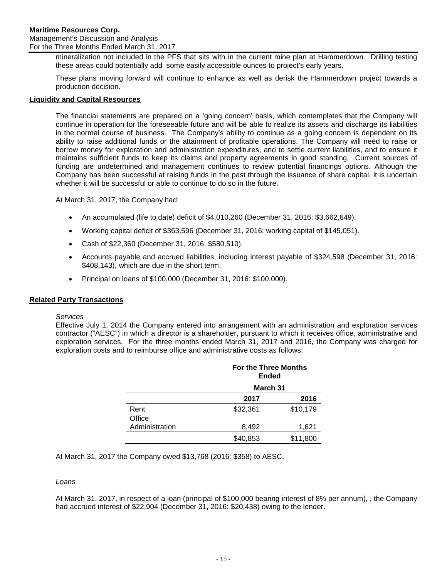#### Management's Discussion and Analysis For the Three Months Ended March 31, 2017

mineralization not included in the PFS that sits with in the current mine plan at Hammerdown. Drilling testing these areas could potentially add some easily accessible ounces to project's early years.

These plans moving forward will continue to enhance as well as derisk the Hammerdown project towards a production decision.

## <span id="page-14-0"></span>**Liquidity and Capital Resources**

The financial statements are prepared on a 'going concern' basis, which contemplates that the Company will continue in operation for the foreseeable future and will be able to realize its assets and discharge its liabilities in the normal course of business. The Company's ability to continue as a going concern is dependent on its ability to raise additional funds or the attainment of profitable operations. The Company will need to raise or borrow money for exploration and administration expenditures, and to settle current liabilities, and to ensure it maintains sufficient funds to keep its claims and property agreements in good standing. Current sources of funding are undetermined and management continues to review potential financings options. Although the Company has been successful at raising funds in the past through the issuance of share capital, it is uncertain whether it will be successful or able to continue to do so in the future.

At March 31, 2017, the Company had:

- An accumulated (life to date) deficit of \$4,010,260 (December 31, 2016: \$3,662,649).
- Working capital deficit of \$363,596 (December 31, 2016: working capital of \$145,051).
- Cash of \$22,360 (December 31, 2016: \$580,510).
- Accounts payable and accrued liabilities, including interest payable of \$324,598 (December 31, 2016: \$408,143), which are due in the short term.
- Principal on loans of \$100,000 (December 31, 2016: \$100,000).

## <span id="page-14-1"></span>**Related Party Transactions**

## *Services*

Effective July 1, 2014 the Company entered into arrangement with an administration and exploration services contractor ("AESC") in which a director is a shareholder, pursuant to which it receives office, administrative and exploration services. For the three months ended March 31, 2017 and 2016, the Company was charged for exploration costs and to reimburse office and administrative costs as follows:

|                | <b>For the Three Months</b><br><b>Ended</b> |          |  |
|----------------|---------------------------------------------|----------|--|
|                | March 31                                    |          |  |
|                | 2017                                        | 2016     |  |
| Rent<br>Office | \$32,361                                    | \$10,179 |  |
| Administration | 8,492                                       | 1,621    |  |
|                | \$40,853                                    | \$11,800 |  |

At March 31, 2017 the Company owed \$13,768 (2016: \$358) to AESC.

## *Loans*

At March 31, 2017, in respect of a loan (principal of \$100,000 bearing interest of 8% per annum), , the Company had accrued interest of \$22,904 (December 31, 2016: \$20,438) owing to the lender.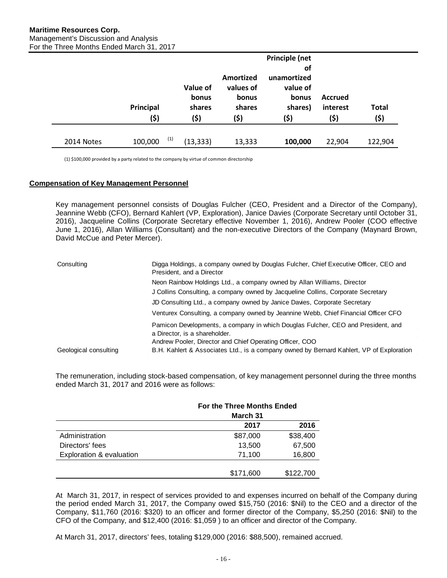|            |                |           |                        | <b>Principle (net</b><br><b>of</b> |                |              |
|------------|----------------|-----------|------------------------|------------------------------------|----------------|--------------|
|            |                | Value of  | Amortized<br>values of | unamortized                        |                |              |
|            |                | bonus     | bonus                  | value of<br>bonus                  | <b>Accrued</b> |              |
|            | Principal      | shares    | shares                 | shares)                            | interest       | <b>Total</b> |
|            | (\$)           | (\$)      | (\$)                   | (\$)                               | (\$)           | (\$)         |
|            |                |           |                        |                                    |                |              |
| 2014 Notes | (1)<br>100,000 | (13, 333) | 13,333                 | 100,000                            | 22,904         | 122,904      |

(1) \$100,000 provided by a party related to the company by virtue of common directorship

#### **Compensation of Key Management Personnel**

Key management personnel consists of Douglas Fulcher (CEO, President and a Director of the Company), Jeannine Webb (CFO), Bernard Kahlert (VP, Exploration), Janice Davies (Corporate Secretary until October 31, 2016), Jacqueline Collins (Corporate Secretary effective November 1, 2016), Andrew Pooler (COO effective June 1, 2016), Allan Williams (Consultant) and the non-executive Directors of the Company (Maynard Brown, David McCue and Peter Mercer).

| Consulting            | Digga Holdings, a company owned by Douglas Fulcher, Chief Executive Officer, CEO and<br>President, and a Director |  |
|-----------------------|-------------------------------------------------------------------------------------------------------------------|--|
|                       | Neon Rainbow Holdings Ltd., a company owned by Allan Williams, Director                                           |  |
|                       | J Collins Consulting, a company owned by Jacqueline Collins, Corporate Secretary                                  |  |
|                       | JD Consulting Ltd., a company owned by Janice Davies, Corporate Secretary                                         |  |
|                       | Venturex Consulting, a company owned by Jeannine Webb, Chief Financial Officer CFO                                |  |
|                       | Pamicon Developments, a company in which Douglas Fulcher, CEO and President, and<br>a Director, is a shareholder. |  |
|                       | Andrew Pooler, Director and Chief Operating Officer, COO                                                          |  |
| Geological consulting | B.H. Kahlert & Associates Ltd., is a company owned by Bernard Kahlert, VP of Exploration                          |  |

The remuneration, including stock-based compensation, of key management personnel during the three months ended March 31, 2017 and 2016 were as follows:

|                          | For the Three Months Ended |           |  |
|--------------------------|----------------------------|-----------|--|
|                          | March 31                   |           |  |
|                          | 2017                       | 2016      |  |
| Administration           | \$87,000                   | \$38,400  |  |
| Directors' fees          | 13.500                     | 67,500    |  |
| Exploration & evaluation | 71,100                     | 16,800    |  |
|                          | \$171,600                  | \$122,700 |  |

At March 31, 2017, in respect of services provided to and expenses incurred on behalf of the Company during the period ended March 31, 2017, the Company owed \$15,750 (2016: \$Nil) to the CEO and a director of the Company, \$11,760 (2016: \$320) to an officer and former director of the Company, \$5,250 (2016: \$Nil) to the CFO of the Company, and \$12,400 (2016: \$1,059 ) to an officer and director of the Company.

At March 31, 2017, directors' fees, totaling \$129,000 (2016: \$88,500), remained accrued.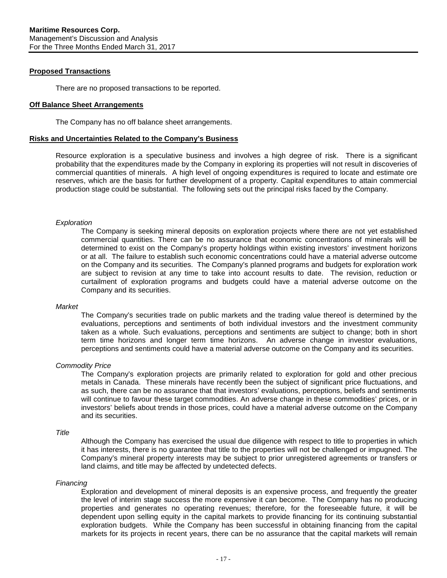#### <span id="page-16-0"></span>**Proposed Transactions**

There are no proposed transactions to be reported.

#### <span id="page-16-1"></span>**Off Balance Sheet Arrangements**

The Company has no off balance sheet arrangements.

#### <span id="page-16-2"></span>**Risks and Uncertainties Related to the Company's Business**

Resource exploration is a speculative business and involves a high degree of risk. There is a significant probability that the expenditures made by the Company in exploring its properties will not result in discoveries of commercial quantities of minerals. A high level of ongoing expenditures is required to locate and estimate ore reserves, which are the basis for further development of a property. Capital expenditures to attain commercial production stage could be substantial. The following sets out the principal risks faced by the Company.

#### *Exploration*

The Company is seeking mineral deposits on exploration projects where there are not yet established commercial quantities. There can be no assurance that economic concentrations of minerals will be determined to exist on the Company's property holdings within existing investors' investment horizons or at all. The failure to establish such economic concentrations could have a material adverse outcome on the Company and its securities. The Company's planned programs and budgets for exploration work are subject to revision at any time to take into account results to date. The revision, reduction or curtailment of exploration programs and budgets could have a material adverse outcome on the Company and its securities.

#### *Market*

The Company's securities trade on public markets and the trading value thereof is determined by the evaluations, perceptions and sentiments of both individual investors and the investment community taken as a whole. Such evaluations, perceptions and sentiments are subject to change; both in short term time horizons and longer term time horizons. An adverse change in investor evaluations, perceptions and sentiments could have a material adverse outcome on the Company and its securities.

#### *Commodity Price*

The Company's exploration projects are primarily related to exploration for gold and other precious metals in Canada. These minerals have recently been the subject of significant price fluctuations, and as such, there can be no assurance that that investors' evaluations, perceptions, beliefs and sentiments will continue to favour these target commodities. An adverse change in these commodities' prices, or in investors' beliefs about trends in those prices, could have a material adverse outcome on the Company and its securities.

#### *Title*

Although the Company has exercised the usual due diligence with respect to title to properties in which it has interests, there is no guarantee that title to the properties will not be challenged or impugned. The Company's mineral property interests may be subject to prior unregistered agreements or transfers or land claims, and title may be affected by undetected defects.

#### *Financing*

Exploration and development of mineral deposits is an expensive process, and frequently the greater the level of interim stage success the more expensive it can become. The Company has no producing properties and generates no operating revenues; therefore, for the foreseeable future, it will be dependent upon selling equity in the capital markets to provide financing for its continuing substantial exploration budgets. While the Company has been successful in obtaining financing from the capital markets for its projects in recent years, there can be no assurance that the capital markets will remain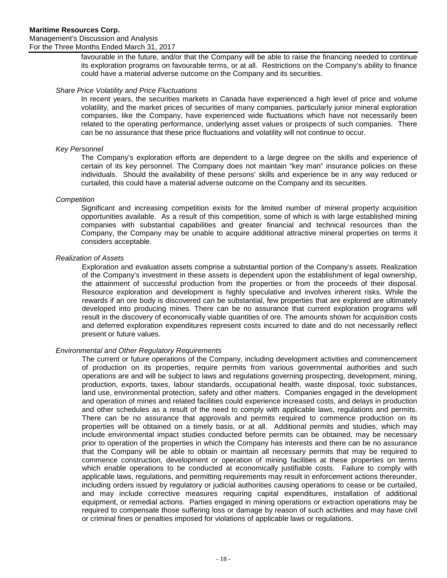favourable in the future, and/or that the Company will be able to raise the financing needed to continue its exploration programs on favourable terms, or at all. Restrictions on the Company's ability to finance could have a material adverse outcome on the Company and its securities.

#### *Share Price Volatility and Price Fluctuations*

In recent years, the securities markets in Canada have experienced a high level of price and volume volatility, and the market prices of securities of many companies, particularly junior mineral exploration companies, like the Company, have experienced wide fluctuations which have not necessarily been related to the operating performance, underlying asset values or prospects of such companies. There can be no assurance that these price fluctuations and volatility will not continue to occur.

#### *Key Personnel*

The Company's exploration efforts are dependent to a large degree on the skills and experience of certain of its key personnel. The Company does not maintain "key man" insurance policies on these individuals. Should the availability of these persons' skills and experience be in any way reduced or curtailed, this could have a material adverse outcome on the Company and its securities.

#### *Competition*

Significant and increasing competition exists for the limited number of mineral property acquisition opportunities available. As a result of this competition, some of which is with large established mining companies with substantial capabilities and greater financial and technical resources than the Company, the Company may be unable to acquire additional attractive mineral properties on terms it considers acceptable.

#### *Realization of Assets*

Exploration and evaluation assets comprise a substantial portion of the Company's assets. Realization of the Company's investment in these assets is dependent upon the establishment of legal ownership, the attainment of successful production from the properties or from the proceeds of their disposal. Resource exploration and development is highly speculative and involves inherent risks. While the rewards if an ore body is discovered can be substantial, few properties that are explored are ultimately developed into producing mines. There can be no assurance that current exploration programs will result in the discovery of economically viable quantities of ore. The amounts shown for acquisition costs and deferred exploration expenditures represent costs incurred to date and do not necessarily reflect present or future values.

## *Environmental and Other Regulatory Requirements*

The current or future operations of the Company, including development activities and commencement of production on its properties, require permits from various governmental authorities and such operations are and will be subject to laws and regulations governing prospecting, development, mining, production, exports, taxes, labour standards, occupational health, waste disposal, toxic substances, land use, environmental protection, safety and other matters. Companies engaged in the development and operation of mines and related facilities could experience increased costs, and delays in production and other schedules as a result of the need to comply with applicable laws, regulations and permits. There can be no assurance that approvals and permits required to commence production on its properties will be obtained on a timely basis, or at all. Additional permits and studies, which may include environmental impact studies conducted before permits can be obtained, may be necessary prior to operation of the properties in which the Company has interests and there can be no assurance that the Company will be able to obtain or maintain all necessary permits that may be required to commence construction, development or operation of mining facilities at these properties on terms which enable operations to be conducted at economically justifiable costs. Failure to comply with applicable laws, regulations, and permitting requirements may result in enforcement actions thereunder, including orders issued by regulatory or judicial authorities causing operations to cease or be curtailed, and may include corrective measures requiring capital expenditures, installation of additional equipment, or remedial actions. Parties engaged in mining operations or extraction operations may be required to compensate those suffering loss or damage by reason of such activities and may have civil or criminal fines or penalties imposed for violations of applicable laws or regulations.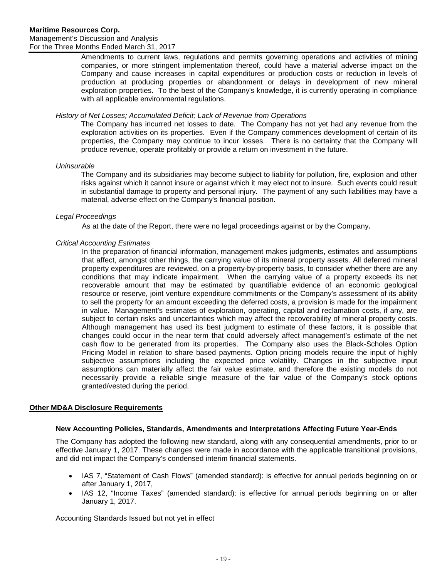For the Three Months Ended March 31, 2017

Amendments to current laws, regulations and permits governing operations and activities of mining companies, or more stringent implementation thereof, could have a material adverse impact on the Company and cause increases in capital expenditures or production costs or reduction in levels of production at producing properties or abandonment or delays in development of new mineral exploration properties. To the best of the Company's knowledge, it is currently operating in compliance with all applicable environmental regulations.

## *History of Net Losses; Accumulated Deficit; Lack of Revenue from Operations*

The Company has incurred net losses to date. The Company has not yet had any revenue from the exploration activities on its properties. Even if the Company commences development of certain of its properties, the Company may continue to incur losses. There is no certainty that the Company will produce revenue, operate profitably or provide a return on investment in the future.

## *Uninsurable*

The Company and its subsidiaries may become subject to liability for pollution, fire, explosion and other risks against which it cannot insure or against which it may elect not to insure. Such events could result in substantial damage to property and personal injury. The payment of any such liabilities may have a material, adverse effect on the Company's financial position.

## *Legal Proceedings*

As at the date of the Report, there were no legal proceedings against or by the Company.

## *Critical Accounting Estimates*

In the preparation of financial information, management makes judgments, estimates and assumptions that affect, amongst other things, the carrying value of its mineral property assets. All deferred mineral property expenditures are reviewed, on a property-by-property basis, to consider whether there are any conditions that may indicate impairment. When the carrying value of a property exceeds its net recoverable amount that may be estimated by quantifiable evidence of an economic geological resource or reserve, joint venture expenditure commitments or the Company's assessment of its ability to sell the property for an amount exceeding the deferred costs, a provision is made for the impairment in value. Management's estimates of exploration, operating, capital and reclamation costs, if any, are subject to certain risks and uncertainties which may affect the recoverability of mineral property costs. Although management has used its best judgment to estimate of these factors, it is possible that changes could occur in the near term that could adversely affect management's estimate of the net cash flow to be generated from its properties. The Company also uses the Black-Scholes Option Pricing Model in relation to share based payments. Option pricing models require the input of highly subjective assumptions including the expected price volatility. Changes in the subjective input assumptions can materially affect the fair value estimate, and therefore the existing models do not necessarily provide a reliable single measure of the fair value of the Company's stock options granted/vested during the period.

## <span id="page-18-0"></span>**Other MD&A Disclosure Requirements**

## **New Accounting Policies, Standards, Amendments and Interpretations Affecting Future Year-Ends**

The Company has adopted the following new standard, along with any consequential amendments, prior to or effective January 1, 2017. These changes were made in accordance with the applicable transitional provisions, and did not impact the Company's condensed interim financial statements.

- IAS 7, "Statement of Cash Flows" (amended standard): is effective for annual periods beginning on or after January 1, 2017,
- IAS 12, "Income Taxes" (amended standard): is effective for annual periods beginning on or after January 1, 2017.

Accounting Standards Issued but not yet in effect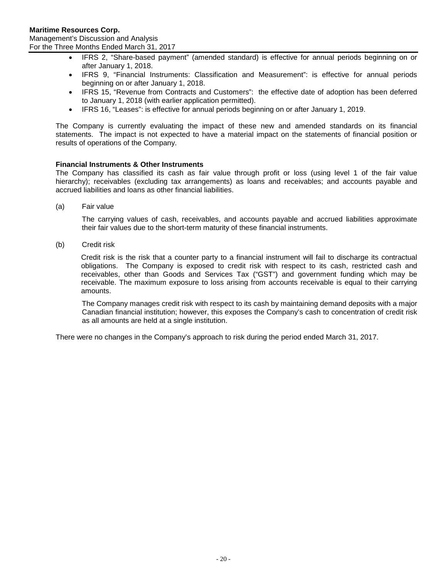- IFRS 2, "Share-based payment" (amended standard) is effective for annual periods beginning on or after January 1, 2018.
- IFRS 9, "Financial Instruments: Classification and Measurement": is effective for annual periods beginning on or after January 1, 2018.
- IFRS 15, "Revenue from Contracts and Customers": the effective date of adoption has been deferred to January 1, 2018 (with earlier application permitted).
- IFRS 16, "Leases": is effective for annual periods beginning on or after January 1, 2019.

The Company is currently evaluating the impact of these new and amended standards on its financial statements. The impact is not expected to have a material impact on the statements of financial position or results of operations of the Company.

## **Financial Instruments & Other Instruments**

The Company has classified its cash as fair value through profit or loss (using level 1 of the fair value hierarchy); receivables (excluding tax arrangements) as loans and receivables; and accounts payable and accrued liabilities and loans as other financial liabilities.

(a) Fair value

The carrying values of cash, receivables, and accounts payable and accrued liabilities approximate their fair values due to the short-term maturity of these financial instruments.

(b) Credit risk

Credit risk is the risk that a counter party to a financial instrument will fail to discharge its contractual obligations. The Company is exposed to credit risk with respect to its cash, restricted cash and receivables, other than Goods and Services Tax ("GST") and government funding which may be receivable. The maximum exposure to loss arising from accounts receivable is equal to their carrying amounts.

The Company manages credit risk with respect to its cash by maintaining demand deposits with a major Canadian financial institution; however, this exposes the Company's cash to concentration of credit risk as all amounts are held at a single institution.

There were no changes in the Company's approach to risk during the period ended March 31, 2017.